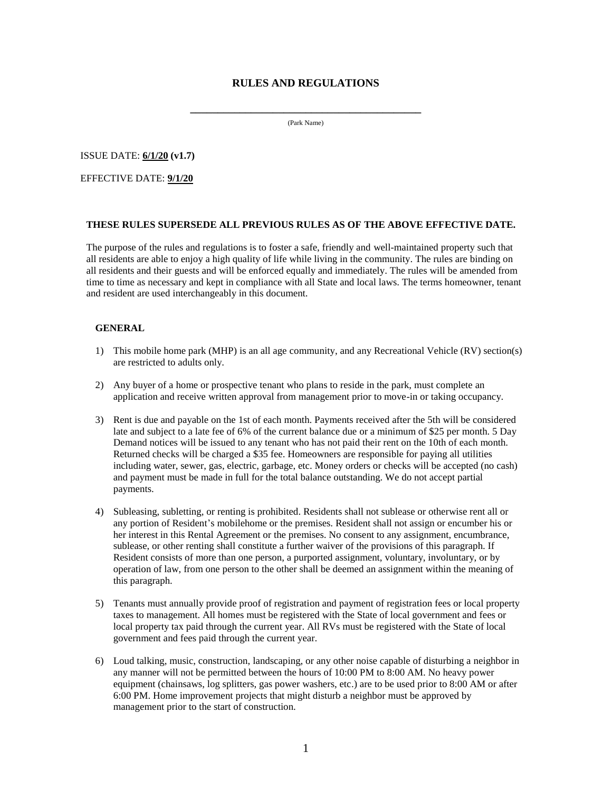# **RULES AND REGULATIONS**

**\_\_\_\_\_\_\_\_\_\_\_\_\_\_\_\_\_\_\_\_\_\_\_\_\_\_\_\_\_\_\_\_\_\_\_\_\_\_\_\_\_\_** (Park Name)

ISSUE DATE: **6/1/20 (v1.7)**

EFFECTIVE DATE: **9/1/20**

## **THESE RULES SUPERSEDE ALL PREVIOUS RULES AS OF THE ABOVE EFFECTIVE DATE.**

The purpose of the rules and regulations is to foster a safe, friendly and well-maintained property such that all residents are able to enjoy a high quality of life while living in the community. The rules are binding on all residents and their guests and will be enforced equally and immediately. The rules will be amended from time to time as necessary and kept in compliance with all State and local laws. The terms homeowner, tenant and resident are used interchangeably in this document.

#### **GENERAL**

- 1) This mobile home park (MHP) is an all age community, and any Recreational Vehicle (RV) section(s) are restricted to adults only.
- 2) Any buyer of a home or prospective tenant who plans to reside in the park, must complete an application and receive written approval from management prior to move-in or taking occupancy.
- 3) Rent is due and payable on the 1st of each month. Payments received after the 5th will be considered late and subject to a late fee of 6% of the current balance due or a minimum of \$25 per month. 5 Day Demand notices will be issued to any tenant who has not paid their rent on the 10th of each month. Returned checks will be charged a \$35 fee. Homeowners are responsible for paying all utilities including water, sewer, gas, electric, garbage, etc. Money orders or checks will be accepted (no cash) and payment must be made in full for the total balance outstanding. We do not accept partial payments.
- 4) Subleasing, subletting, or renting is prohibited. Residents shall not sublease or otherwise rent all or any portion of Resident's mobilehome or the premises. Resident shall not assign or encumber his or her interest in this Rental Agreement or the premises. No consent to any assignment, encumbrance, sublease, or other renting shall constitute a further waiver of the provisions of this paragraph. If Resident consists of more than one person, a purported assignment, voluntary, involuntary, or by operation of law, from one person to the other shall be deemed an assignment within the meaning of this paragraph.
- 5) Tenants must annually provide proof of registration and payment of registration fees or local property taxes to management. All homes must be registered with the State of local government and fees or local property tax paid through the current year. All RVs must be registered with the State of local government and fees paid through the current year.
- 6) Loud talking, music, construction, landscaping, or any other noise capable of disturbing a neighbor in any manner will not be permitted between the hours of 10:00 PM to 8:00 AM. No heavy power equipment (chainsaws, log splitters, gas power washers, etc.) are to be used prior to 8:00 AM or after 6:00 PM. Home improvement projects that might disturb a neighbor must be approved by management prior to the start of construction.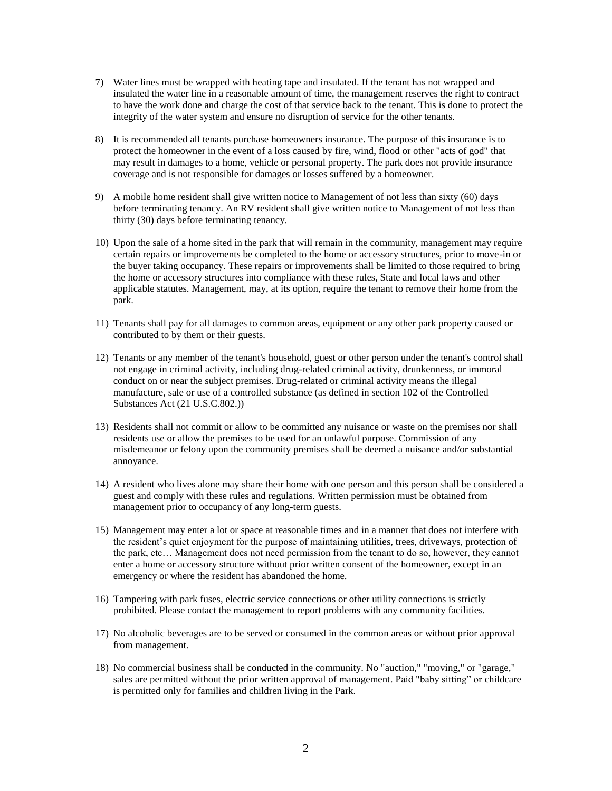- 7) Water lines must be wrapped with heating tape and insulated. If the tenant has not wrapped and insulated the water line in a reasonable amount of time, the management reserves the right to contract to have the work done and charge the cost of that service back to the tenant. This is done to protect the integrity of the water system and ensure no disruption of service for the other tenants.
- 8) It is recommended all tenants purchase homeowners insurance. The purpose of this insurance is to protect the homeowner in the event of a loss caused by fire, wind, flood or other "acts of god" that may result in damages to a home, vehicle or personal property. The park does not provide insurance coverage and is not responsible for damages or losses suffered by a homeowner.
- 9) A mobile home resident shall give written notice to Management of not less than sixty (60) days before terminating tenancy. An RV resident shall give written notice to Management of not less than thirty (30) days before terminating tenancy.
- 10) Upon the sale of a home sited in the park that will remain in the community, management may require certain repairs or improvements be completed to the home or accessory structures, prior to move-in or the buyer taking occupancy. These repairs or improvements shall be limited to those required to bring the home or accessory structures into compliance with these rules, State and local laws and other applicable statutes. Management, may, at its option, require the tenant to remove their home from the park.
- 11) Tenants shall pay for all damages to common areas, equipment or any other park property caused or contributed to by them or their guests.
- 12) Tenants or any member of the tenant's household, guest or other person under the tenant's control shall not engage in criminal activity, including drug-related criminal activity, drunkenness, or immoral conduct on or near the subject premises. Drug-related or criminal activity means the illegal manufacture, sale or use of a controlled substance (as defined in section 102 of the Controlled Substances Act (21 U.S.C.802.))
- 13) Residents shall not commit or allow to be committed any nuisance or waste on the premises nor shall residents use or allow the premises to be used for an unlawful purpose. Commission of any misdemeanor or felony upon the community premises shall be deemed a nuisance and/or substantial annoyance.
- 14) A resident who lives alone may share their home with one person and this person shall be considered a guest and comply with these rules and regulations. Written permission must be obtained from management prior to occupancy of any long-term guests.
- 15) Management may enter a lot or space at reasonable times and in a manner that does not interfere with the resident's quiet enjoyment for the purpose of maintaining utilities, trees, driveways, protection of the park, etc… Management does not need permission from the tenant to do so, however, they cannot enter a home or accessory structure without prior written consent of the homeowner, except in an emergency or where the resident has abandoned the home.
- 16) Tampering with park fuses, electric service connections or other utility connections is strictly prohibited. Please contact the management to report problems with any community facilities.
- 17) No alcoholic beverages are to be served or consumed in the common areas or without prior approval from management.
- 18) No commercial business shall be conducted in the community. No "auction," "moving," or "garage," sales are permitted without the prior written approval of management. Paid "baby sitting" or childcare is permitted only for families and children living in the Park.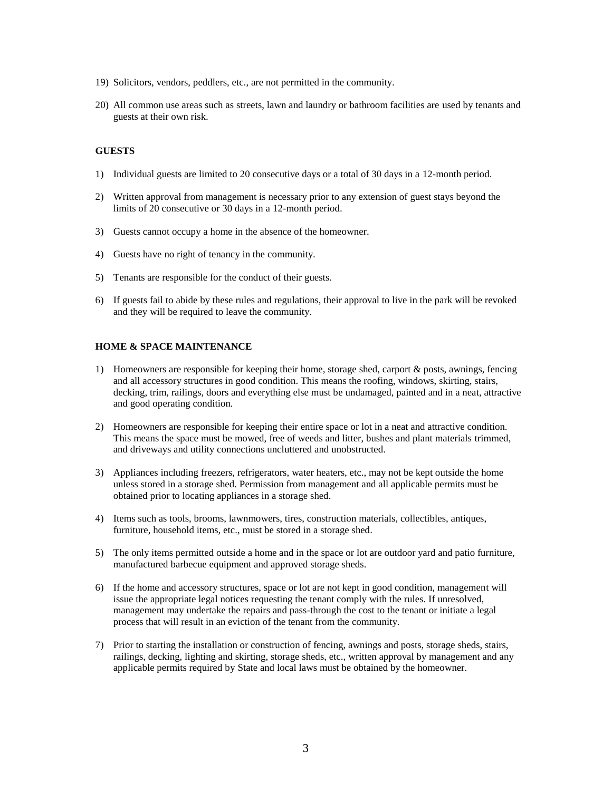- 19) Solicitors, vendors, peddlers, etc., are not permitted in the community.
- 20) All common use areas such as streets, lawn and laundry or bathroom facilities are used by tenants and guests at their own risk.

#### **GUESTS**

- 1) Individual guests are limited to 20 consecutive days or a total of 30 days in a 12-month period.
- 2) Written approval from management is necessary prior to any extension of guest stays beyond the limits of 20 consecutive or 30 days in a 12-month period.
- 3) Guests cannot occupy a home in the absence of the homeowner.
- 4) Guests have no right of tenancy in the community.
- 5) Tenants are responsible for the conduct of their guests.
- 6) If guests fail to abide by these rules and regulations, their approval to live in the park will be revoked and they will be required to leave the community.

## **HOME & SPACE MAINTENANCE**

- 1) Homeowners are responsible for keeping their home, storage shed, carport & posts, awnings, fencing and all accessory structures in good condition. This means the roofing, windows, skirting, stairs, decking, trim, railings, doors and everything else must be undamaged, painted and in a neat, attractive and good operating condition.
- 2) Homeowners are responsible for keeping their entire space or lot in a neat and attractive condition. This means the space must be mowed, free of weeds and litter, bushes and plant materials trimmed, and driveways and utility connections uncluttered and unobstructed.
- 3) Appliances including freezers, refrigerators, water heaters, etc., may not be kept outside the home unless stored in a storage shed. Permission from management and all applicable permits must be obtained prior to locating appliances in a storage shed.
- 4) Items such as tools, brooms, lawnmowers, tires, construction materials, collectibles, antiques, furniture, household items, etc., must be stored in a storage shed.
- 5) The only items permitted outside a home and in the space or lot are outdoor yard and patio furniture, manufactured barbecue equipment and approved storage sheds.
- 6) If the home and accessory structures, space or lot are not kept in good condition, management will issue the appropriate legal notices requesting the tenant comply with the rules. If unresolved, management may undertake the repairs and pass-through the cost to the tenant or initiate a legal process that will result in an eviction of the tenant from the community.
- 7) Prior to starting the installation or construction of fencing, awnings and posts, storage sheds, stairs, railings, decking, lighting and skirting, storage sheds, etc., written approval by management and any applicable permits required by State and local laws must be obtained by the homeowner.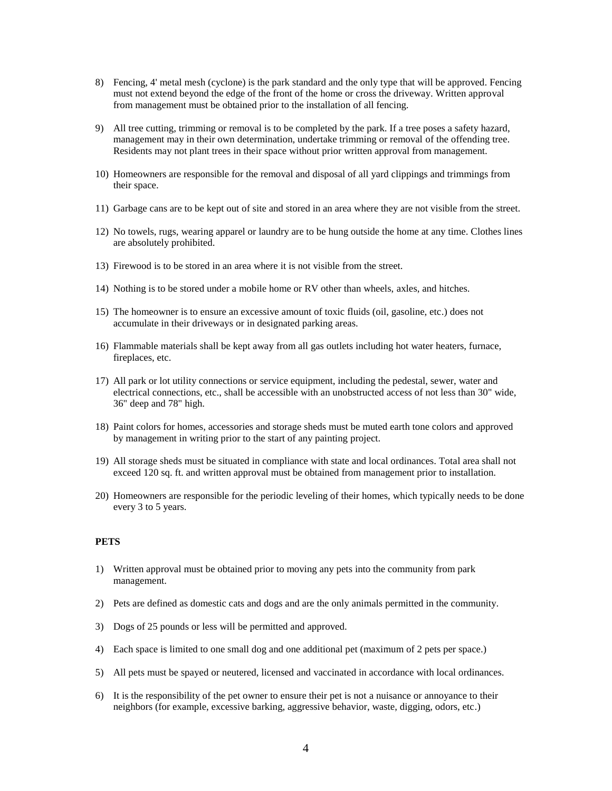- 8) Fencing, 4' metal mesh (cyclone) is the park standard and the only type that will be approved. Fencing must not extend beyond the edge of the front of the home or cross the driveway. Written approval from management must be obtained prior to the installation of all fencing.
- 9) All tree cutting, trimming or removal is to be completed by the park. If a tree poses a safety hazard, management may in their own determination, undertake trimming or removal of the offending tree. Residents may not plant trees in their space without prior written approval from management.
- 10) Homeowners are responsible for the removal and disposal of all yard clippings and trimmings from their space.
- 11) Garbage cans are to be kept out of site and stored in an area where they are not visible from the street.
- 12) No towels, rugs, wearing apparel or laundry are to be hung outside the home at any time. Clothes lines are absolutely prohibited.
- 13) Firewood is to be stored in an area where it is not visible from the street.
- 14) Nothing is to be stored under a mobile home or RV other than wheels, axles, and hitches.
- 15) The homeowner is to ensure an excessive amount of toxic fluids (oil, gasoline, etc.) does not accumulate in their driveways or in designated parking areas.
- 16) Flammable materials shall be kept away from all gas outlets including hot water heaters, furnace, fireplaces, etc.
- 17) All park or lot utility connections or service equipment, including the pedestal, sewer, water and electrical connections, etc., shall be accessible with an unobstructed access of not less than 30" wide, 36" deep and 78" high.
- 18) Paint colors for homes, accessories and storage sheds must be muted earth tone colors and approved by management in writing prior to the start of any painting project.
- 19) All storage sheds must be situated in compliance with state and local ordinances. Total area shall not exceed 120 sq. ft. and written approval must be obtained from management prior to installation.
- 20) Homeowners are responsible for the periodic leveling of their homes, which typically needs to be done every 3 to 5 years.

#### **PETS**

- 1) Written approval must be obtained prior to moving any pets into the community from park management.
- 2) Pets are defined as domestic cats and dogs and are the only animals permitted in the community.
- 3) Dogs of 25 pounds or less will be permitted and approved.
- 4) Each space is limited to one small dog and one additional pet (maximum of 2 pets per space.)
- 5) All pets must be spayed or neutered, licensed and vaccinated in accordance with local ordinances.
- 6) It is the responsibility of the pet owner to ensure their pet is not a nuisance or annoyance to their neighbors (for example, excessive barking, aggressive behavior, waste, digging, odors, etc.)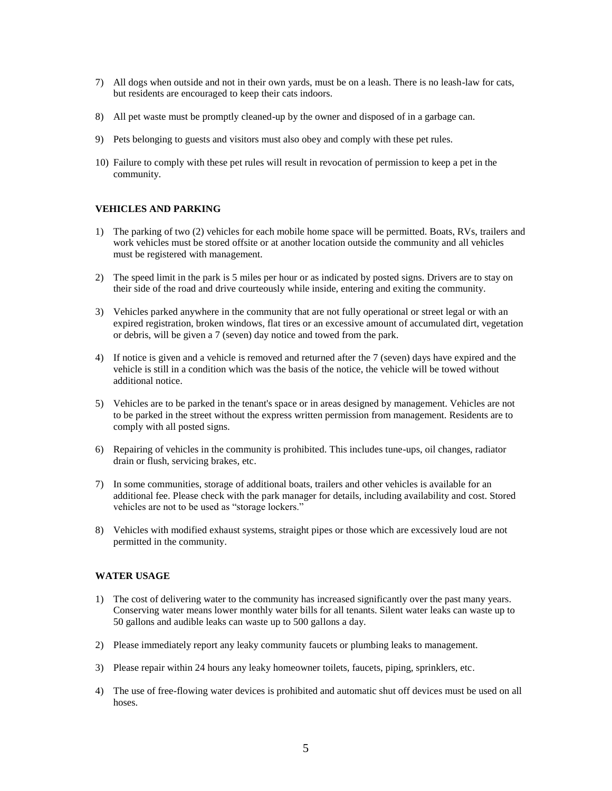- 7) All dogs when outside and not in their own yards, must be on a leash. There is no leash-law for cats, but residents are encouraged to keep their cats indoors.
- 8) All pet waste must be promptly cleaned-up by the owner and disposed of in a garbage can.
- 9) Pets belonging to guests and visitors must also obey and comply with these pet rules.
- 10) Failure to comply with these pet rules will result in revocation of permission to keep a pet in the community.

## **VEHICLES AND PARKING**

- 1) The parking of two (2) vehicles for each mobile home space will be permitted. Boats, RVs, trailers and work vehicles must be stored offsite or at another location outside the community and all vehicles must be registered with management.
- 2) The speed limit in the park is 5 miles per hour or as indicated by posted signs. Drivers are to stay on their side of the road and drive courteously while inside, entering and exiting the community.
- 3) Vehicles parked anywhere in the community that are not fully operational or street legal or with an expired registration, broken windows, flat tires or an excessive amount of accumulated dirt, vegetation or debris, will be given a 7 (seven) day notice and towed from the park.
- 4) If notice is given and a vehicle is removed and returned after the 7 (seven) days have expired and the vehicle is still in a condition which was the basis of the notice, the vehicle will be towed without additional notice.
- 5) Vehicles are to be parked in the tenant's space or in areas designed by management. Vehicles are not to be parked in the street without the express written permission from management. Residents are to comply with all posted signs.
- 6) Repairing of vehicles in the community is prohibited. This includes tune-ups, oil changes, radiator drain or flush, servicing brakes, etc.
- 7) In some communities, storage of additional boats, trailers and other vehicles is available for an additional fee. Please check with the park manager for details, including availability and cost. Stored vehicles are not to be used as "storage lockers."
- 8) Vehicles with modified exhaust systems, straight pipes or those which are excessively loud are not permitted in the community.

## **WATER USAGE**

- 1) The cost of delivering water to the community has increased significantly over the past many years. Conserving water means lower monthly water bills for all tenants. Silent water leaks can waste up to 50 gallons and audible leaks can waste up to 500 gallons a day.
- 2) Please immediately report any leaky community faucets or plumbing leaks to management.
- 3) Please repair within 24 hours any leaky homeowner toilets, faucets, piping, sprinklers, etc.
- 4) The use of free-flowing water devices is prohibited and automatic shut off devices must be used on all hoses.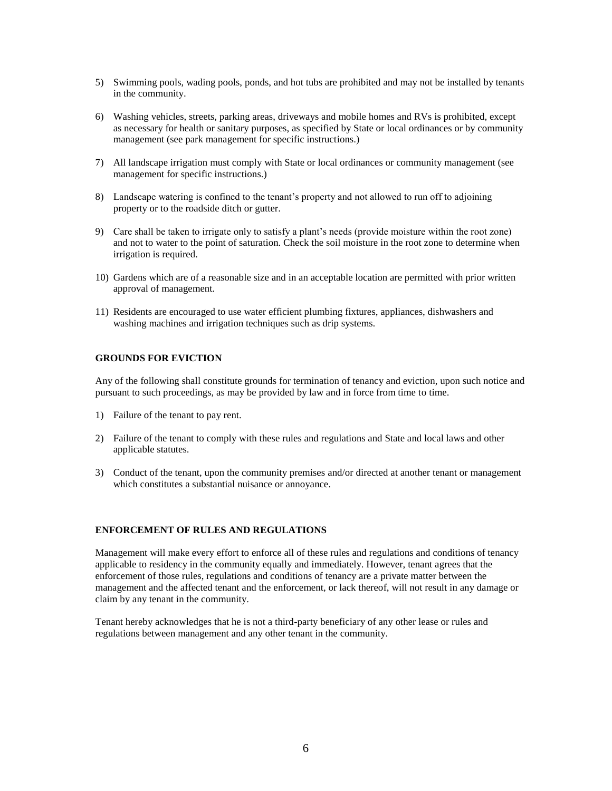- 5) Swimming pools, wading pools, ponds, and hot tubs are prohibited and may not be installed by tenants in the community.
- 6) Washing vehicles, streets, parking areas, driveways and mobile homes and RVs is prohibited, except as necessary for health or sanitary purposes, as specified by State or local ordinances or by community management (see park management for specific instructions.)
- 7) All landscape irrigation must comply with State or local ordinances or community management (see management for specific instructions.)
- 8) Landscape watering is confined to the tenant's property and not allowed to run off to adjoining property or to the roadside ditch or gutter.
- 9) Care shall be taken to irrigate only to satisfy a plant's needs (provide moisture within the root zone) and not to water to the point of saturation. Check the soil moisture in the root zone to determine when irrigation is required.
- 10) Gardens which are of a reasonable size and in an acceptable location are permitted with prior written approval of management.
- 11) Residents are encouraged to use water efficient plumbing fixtures, appliances, dishwashers and washing machines and irrigation techniques such as drip systems.

## **GROUNDS FOR EVICTION**

Any of the following shall constitute grounds for termination of tenancy and eviction, upon such notice and pursuant to such proceedings, as may be provided by law and in force from time to time.

- 1) Failure of the tenant to pay rent.
- 2) Failure of the tenant to comply with these rules and regulations and State and local laws and other applicable statutes.
- 3) Conduct of the tenant, upon the community premises and/or directed at another tenant or management which constitutes a substantial nuisance or annoyance.

#### **ENFORCEMENT OF RULES AND REGULATIONS**

Management will make every effort to enforce all of these rules and regulations and conditions of tenancy applicable to residency in the community equally and immediately. However, tenant agrees that the enforcement of those rules, regulations and conditions of tenancy are a private matter between the management and the affected tenant and the enforcement, or lack thereof, will not result in any damage or claim by any tenant in the community.

Tenant hereby acknowledges that he is not a third-party beneficiary of any other lease or rules and regulations between management and any other tenant in the community.